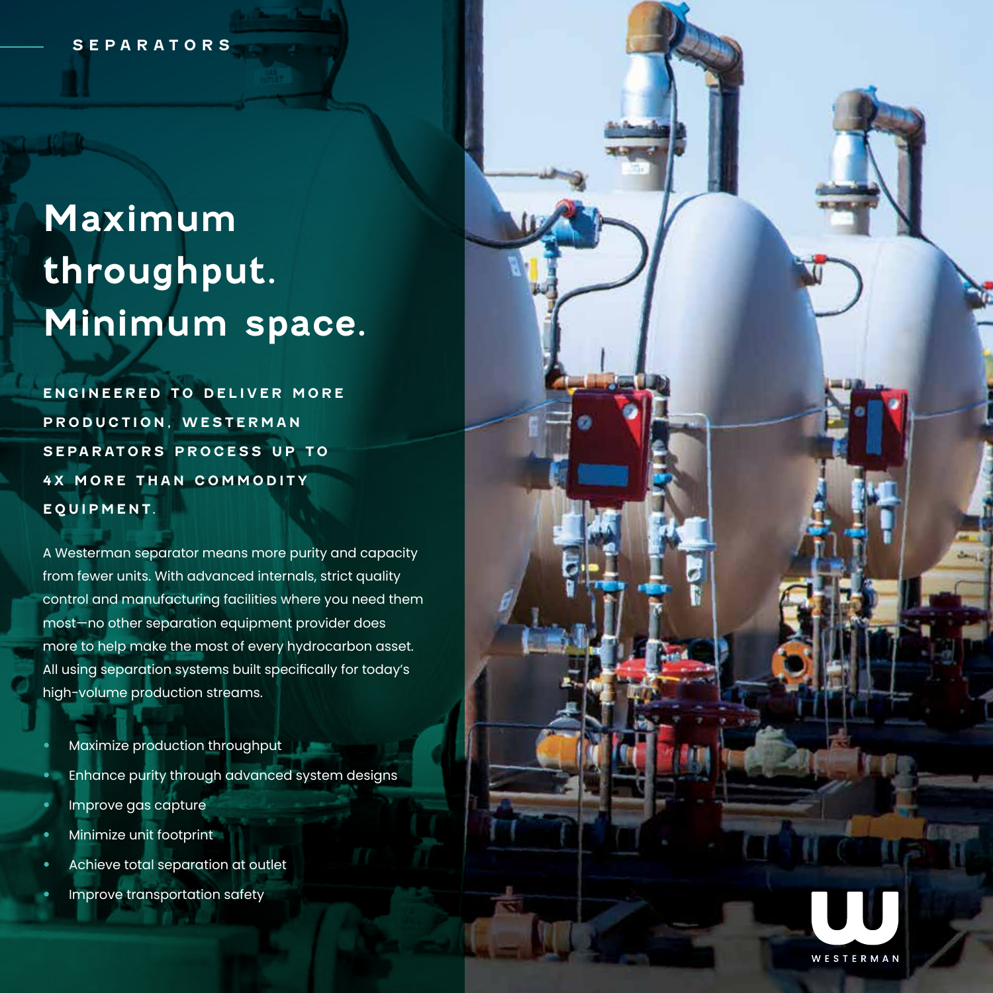# **Maximum throughput. Minimum space.**

**ENGINEERED TO DELIVER MORE PRODUCTION, WESTERMAN SEPARATORS PROCESS UP TO 4X MORE THAN COMMODITY E Q U I P M E N T.** 

A Westerman separator means more purity and capacity from fewer units. With advanced internals, strict quality control and manufacturing facilities where you need them most—no other separation equipment provider does more to help make the most of every hydrocarbon asset. All using separation systems built specifically for today's high-volume production streams.

- Maximize production throughput
- Enhance purity through advanced system designs
- Improve gas capture
- Minimize unit footprint
- Achieve total separation at outlet
- Improve transportation safety